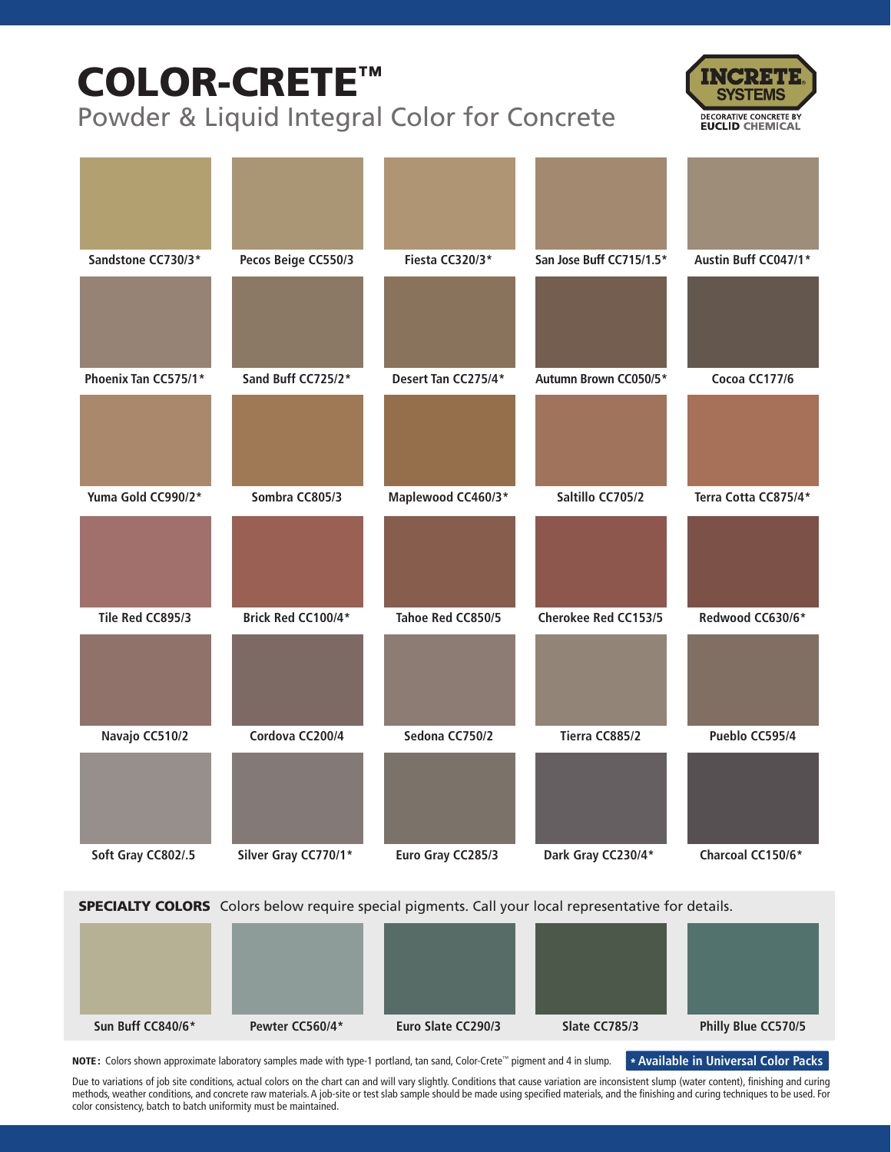# COLOR-CRETE™

Powder & Liquid Integral Color for Concrete



| Sandstone CC730/3*   | Pecos Beige CC550/3  | Fiesta CC320/3*     | San Jose Buff CC715/1.5*    | Austin Buff CC047/1* |
|----------------------|----------------------|---------------------|-----------------------------|----------------------|
|                      |                      |                     |                             |                      |
| Phoenix Tan CC575/1* | Sand Buff CC725/2*   | Desert Tan CC275/4* | Autumn Brown CC050/5*       | Cocoa CC177/6        |
|                      |                      |                     |                             |                      |
| Yuma Gold CC990/2*   | Sombra CC805/3       | Maplewood CC460/3*  | Saltillo CC705/2            | Terra Cotta CC875/4* |
|                      |                      |                     |                             |                      |
| Tile Red CC895/3     | Brick Red CC100/4*   | Tahoe Red CC850/5   | <b>Cherokee Red CC153/5</b> | Redwood CC630/6*     |
|                      |                      |                     |                             |                      |
| Navajo CC510/2       | Cordova CC200/4      | Sedona CC750/2      | Tierra CC885/2              | Pueblo CC595/4       |
|                      |                      |                     |                             |                      |
| Soft Gray CC802/.5   | Silver Gray CC770/1* | Euro Gray CC285/3   | Dark Gray CC230/4*          | Charcoal CC150/6*    |

**SPECIALTY COLORS** Colors below require special pigments. Call your local representative for details.

| Sun Buff CC840/6* | Pewter CC560/4* | Euro Slate CC290/3 | Slate CC785/3 | Philly Blue CC570/5 |
|-------------------|-----------------|--------------------|---------------|---------------------|

NOTE: Colors shown approximate laboratory samples made with type-1 portland, tan sand, Color-Crete™ pigment and 4 in slump.

**\* Available in Universal Color Packs**

Due to variations of job site conditions, actual colors on the chart can and will vary slightly. Conditions that cause variation are inconsistent slump (water content), finishing and curing methods, weather conditions, and concrete raw materials. A job-site or test slab sample should be made using specified materials, and the finishing and curing techniques to be used. For color consistency, batch to batch uniformity must be maintained.